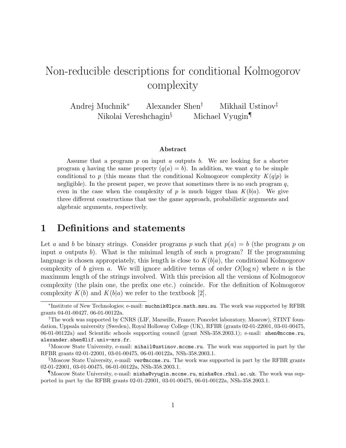# Non-reducible descriptions for conditional Kolmogorov complexity

Andrej Muchnik<sup>∗</sup> Alexander Shen† Mikhail Ustinov‡ Nikolai Vereshchagin§ Michael Vyugin¶

#### Abstract

Assume that a program  $p$  on input  $a$  outputs  $b$ . We are looking for a shorter program q having the same property  $(q(a) = b)$ . In addition, we want q to be simple conditional to p (this means that the conditional Kolmogorov complexity  $K(q|p)$  is negligible). In the present paper, we prove that sometimes there is no such program  $q$ , even in the case when the complexity of p is much bigger than  $K(b|a)$ . We give three different constructions that use the game approach, probabilistic arguments and algebraic arguments, respectively.

### 1 Definitions and statements

Let a and b be binary strings. Consider programs p such that  $p(a) = b$  (the program p on input a outputs b). What is the minimal length of such a program? If the programming language is chosen appropriately, this length is close to  $K(b|a)$ , the conditional Kolmogorov complexity of b given a. We will ignore additive terms of order  $O(\log n)$  where n is the maximum length of the strings involved. With this precision all the versions of Kolmogorov complexity (the plain one, the prefix one etc.) coincide. For the definition of Kolmogorov complexity  $K(b)$  and  $K(b|a)$  we refer to the textbook [2].

<sup>∗</sup> Institute of New Technologies; e-mail: muchnik@lpcs.math.msu.su. The work was supported by RFBR grants 04-01-00427, 06-01-00122a.

<sup>†</sup>The work was supported by CNRS (LIF, Marseille, France; Poncelet laboratory, Moscow), STINT foundation, Uppsala university (Sweden), Royal Holloway College (UK), RFBR (grants 02-01-22001, 03-01-00475, 06-01-00122a) and Scientific schools supporting council (grant NSh-358.2003.1); e-mail: shen@mccme.ru, alexander.shen@lif.univ-mrs.fr.

 $\frac{1}{4}$ Moscow State University, e-mail: mihail@ustinov.mccme.ru. The work was supported in part by the RFBR grants 02-01-22001, 03-01-00475, 06-01-00122a, NSh-358.2003.1.

<sup>§</sup>Moscow State University, e-mail: ver@mccme.ru. The work was supported in part by the RFBR grants 02-01-22001, 03-01-00475, 06-01-00122a, NSh-358.2003.1.

<sup>¶</sup>Moscow State University, e-mail: misha@vyugin.mccme.ru, misha@cs.rhul.ac.uk. The work was supported in part by the RFBR grants 02-01-22001, 03-01-00475, 06-01-00122a, NSh-358.2003.1.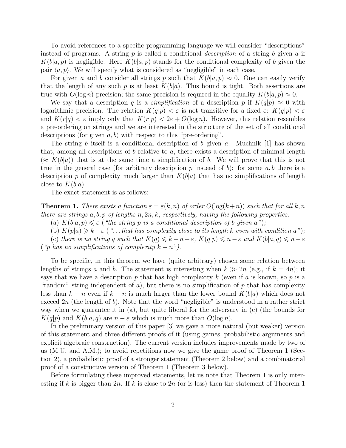To avoid references to a specific programming language we will consider "descriptions" instead of programs. A string  $p$  is called a conditional *description* of a string  $b$  given  $a$  if  $K(b|a, p)$  is negligible. Here  $K(b|a, p)$  stands for the conditional complexity of b given the pair  $\langle a, p \rangle$ . We will specify what is considered as "negligible" in each case.

For given a and b consider all strings p such that  $K(b|a, p) \approx 0$ . One can easily verify that the length of any such p is at least  $K(b|a)$ . This bound is tight. Both assertions are true with  $O(\log n)$  precision; the same precision is required in the equality  $K(b|a, p) \approx 0$ .

We say that a description q is a *simplification* of a description p if  $K(q|p) \approx 0$  with logarithmic precision. The relation  $K(q|p) < \varepsilon$  is not transitive for a fixed  $\varepsilon$ :  $K(q|p) < \varepsilon$ and  $K(r|q) < \varepsilon$  imply only that  $K(r|p) < 2\varepsilon + O(\log n)$ . However, this relation resembles a pre-ordering on strings and we are interested in the structure of the set of all conditional descriptions (for given  $a, b$ ) with respect to this "pre-ordering".

The string b itself is a conditional description of b given a. Muchnik [1] has shown that, among all descriptions of b relative to a, there exists a description of minimal length  $(\approx K(b|a))$  that is at the same time a simplification of b. We will prove that this is not true in the general case (for arbitrary description p instead of b): for some  $a, b$  there is a description p of complexity much larger than  $K(b|a)$  that has no simplifications of length close to  $K(b|a)$ .

The exact statement is as follows:

**Theorem 1.** There exists a function  $\varepsilon = \varepsilon(k, n)$  of order  $O(\log(k+n))$  such that for all k, n there are strings  $a, b, p$  of lengths  $n, 2n, k$ , respectively, having the following properties:

(a)  $K(b|a, p) \leq \varepsilon$  ("the string p is a conditional description of b given a");

(b)  $K(p|a) \geq k - \varepsilon$  ("... that has complexity close to its length k even with condition a"); (c) there is no string q such that  $K(q) \leq k - n - \varepsilon$ ,  $K(q|p) \leq n - \varepsilon$  and  $K(b|a,q) \leq n - \varepsilon$ ("p has no simplifications of complexity  $k - n$ ").

To be specific, in this theorem we have (quite arbitrary) chosen some relation between lengths of strings a and b. The statement is interesting when  $k \gg 2n$  (e.g., if  $k = 4n$ ); it says that we have a description p that has high complexity k (even if a is known, so p is a "random" string independent of a), but there is no simplification of  $p$  that has complexity less than  $k - n$  even if  $k - n$  is much larger than the lower bound  $K(b|a)$  which does not exceed  $2n$  (the length of b). Note that the word "negligible" is understood in a rather strict way when we guarantee it in (a), but quite liberal for the adversary in (c) (the bounds for  $K(q|p)$  and  $K(b|a,q)$  are  $n - \varepsilon$  which is much more than  $O(\log n)$ .

In the preliminary version of this paper [3] we gave a more natural (but weaker) version of this statement and three different proofs of it (using games, probabilistic arguments and explicit algebraic construction). The current version includes improvements made by two of us (M.U. and A.M.); to avoid repetitions now we give the game proof of Theorem 1 (Section 2), a probabilistic proof of a stronger statement (Theorem 2 below) and a combinatorial proof of a constructive version of Theorem 1 (Theorem 3 below).

Before formulating these improved statements, let us note that Theorem 1 is only interesting if k is bigger than  $2n$ . If k is close to  $2n$  (or is less) then the statement of Theorem 1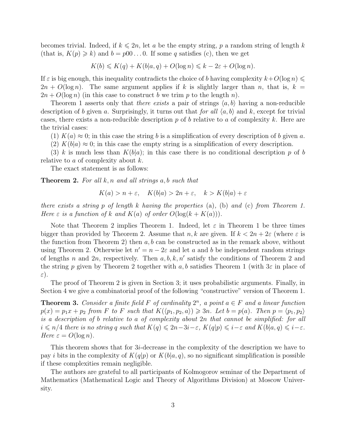becomes trivial. Indeed, if  $k \leq 2n$ , let a be the empty string, p a random string of length k (that is,  $K(p) \ge k$ ) and  $b = p00 \ldots 0$ . If some q satisfies (c), then we get

 $K(b) \leq K(q) + K(b|a,q) + O(\log n) \leq k - 2\varepsilon + O(\log n).$ 

If  $\varepsilon$  is big enough, this inequality contradicts the choice of b having complexity  $k+O(\log n) \leq$  $2n + O(\log n)$ . The same argument applies if k is slightly larger than n, that is,  $k =$  $2n + O(\log n)$  (in this case to construct b we trim p to the length n).

Theorem 1 asserts only that *there exists* a pair of strings  $\langle a, b \rangle$  having a non-reducible description of b given a. Surprisingly, it turns out that for all  $\langle a, b \rangle$  and k, except for trivial cases, there exists a non-reducible description p of b relative to a of complexity k. Here are the trivial cases:

(1)  $K(a) \approx 0$ ; in this case the string b is a simplification of every description of b given a.

(2)  $K(b|a) \approx 0$ ; in this case the empty string is a simplification of every description.

(3) k is much less than  $K(b|a)$ ; in this case there is no conditional description p of b relative to a of complexity about  $k$ .

The exact statement is as follows:

**Theorem 2.** For all  $k, n$  and all strings  $a, b$  such that

$$
K(a) > n + \varepsilon, \quad K(b|a) > 2n + \varepsilon, \quad k > K(b|a) + \varepsilon
$$

there exists a string p of length k having the properties (a), (b) and (c) from Theorem 1. Here  $\varepsilon$  is a function of k and  $K(a)$  of order  $O(\log(k + K(a)))$ .

Note that Theorem 2 implies Theorem 1. Indeed, let  $\varepsilon$  in Theorem 1 be three times bigger than provided by Theorem 2. Assume that  $n, k$  are given. If  $k < 2n + 2\varepsilon$  (where  $\varepsilon$  is the function from Theorem 2) then  $a, b$  can be constructed as in the remark above, without using Theorem 2. Otherwise let  $n' = n - 2\varepsilon$  and let a and b be independent random strings of lengths n and  $2n$ , respectively. Then  $a, b, k, n'$  satisfy the conditions of Theorem 2 and the string p given by Theorem 2 together with a, b satisfies Theorem 1 (with  $3\varepsilon$  in place of ε).

The proof of Theorem 2 is given in Section 3; it uses probabilistic arguments. Finally, in Section 4 we give a combinatorial proof of the following "constructive" version of Theorem 1.

**Theorem 3.** Consider a finite field F of cardinality  $2^n$ , a point  $a \in F$  and a linear function  $p(x) = p_1x + p_2$  from F to F such that  $K(\langle p_1, p_2, a \rangle) \geq 3n$ . Let  $b = p(a)$ . Then  $p = \langle p_1, p_2 \rangle$ is a description of b relative to a of complexity about 2n that cannot be simplified: for all  $i \le n/4$  there is no string q such that  $K(q) \le 2n-3i-\varepsilon$ ,  $K(q|p) \le i-\varepsilon$  and  $K(b|a,q) \le i-\varepsilon$ . Here  $\varepsilon = O(\log n)$ .

This theorem shows that for 3i-decrease in the complexity of the description we have to pay i bits in the complexity of  $K(q|p)$  or  $K(b|a,q)$ , so no significant simplification is possible if these complexities remain negligible.

The authors are grateful to all participants of Kolmogorov seminar of the Department of Mathematics (Mathematical Logic and Theory of Algorithms Division) at Moscow University.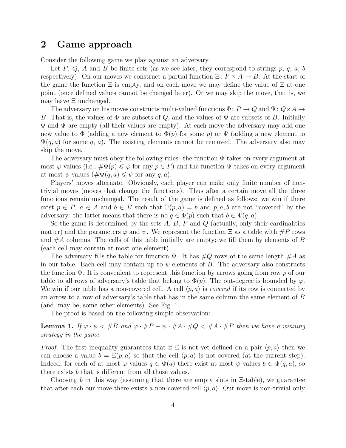#### 2 Game approach

Consider the following game we play against an adversary.

Let P, Q, A and B be finite sets (as we see later, they correspond to strings p, q, a, b respectively). On our moves we construct a partial function  $\Xi: P \times A \to B$ . At the start of the game the function  $\Xi$  is empty, and on each move we may define the value of  $\Xi$  at one point (once defined values cannot be changed later). Or we may skip the move, that is, we may leave Ξ unchanged.

The adversary on his moves constructs multi-valued functions  $\Phi\colon P\to Q$  and  $\Psi\colon Q\times A\to P$ B. That is, the values of  $\Phi$  are subsets of Q, and the values of  $\Psi$  are subsets of B. Initially  $\Phi$  and  $\Psi$  are empty (all their values are empty). At each move the adversary may add one new value to  $\Phi$  (adding a new element to  $\Phi(p)$ ) for some p) or  $\Psi$  (adding a new element to  $\Psi(q, a)$  for some q, a). The existing elements cannot be removed. The adversary also may skip the move.

The adversary must obey the following rules: the function  $\Phi$  takes on every argument at most  $\varphi$  values (i.e.,  $\#\Phi(p) \leq \varphi$  for any  $p \in P$ ) and the function  $\Psi$  takes on every argument at most  $\psi$  values  $(\#\Psi(q, a) \leq \psi$  for any q, a).

Players' moves alternate. Obviously, each player can make only finite number of nontrivial moves (moves that change the functions). Thus after a certain move all the three functions remain unchanged. The result of the game is defined as follows: we win if there exist  $p \in P$ ,  $a \in A$  and  $b \in B$  such that  $\Xi(p, a) = b$  and p, a, b are not "covered" by the adversary: the latter means that there is no  $q \in \Phi(p)$  such that  $b \in \Psi(q, a)$ .

So the game is determined by the sets  $A, B, P$  and  $Q$  (actually, only their cardinalities matter) and the parameters  $\varphi$  and  $\psi$ . We represent the function  $\Xi$  as a table with  $\#P$  rows and  $\#A$  columns. The cells of this table initially are empty; we fill them by elements of B (each cell may contain at most one element).

The adversary fills the table for function  $\Psi$ . It has  $\#Q$  rows of the same length  $\#A$  as in our table. Each cell may contain up to  $\psi$  elements of B. The adversary also constructs the function  $\Phi$ . It is convenient to represent this function by arrows going from row p of our table to all rows of adversary's table that belong to  $\Phi(p)$ . The out-degree is bounded by  $\varphi$ . We win if our table has a non-covered cell. A cell  $\langle p, a \rangle$  is *covered* if its row is connected by an arrow to a row of adversary's table that has in the same column the same element of B (and, may be, some other elements). See Fig. 1.

The proof is based on the following simple observation:

**Lemma 1.** If  $\varphi \cdot \psi < \#B$  and  $\varphi \cdot \#P + \psi \cdot \#A \cdot \#Q < \#A \cdot \#P$  then we have a winning strategy in the game.

*Proof.* The first inequality guarantees that if  $\Xi$  is not yet defined on a pair  $\langle p, a \rangle$  then we can choose a value  $b = \Xi(p, a)$  so that the cell  $\langle p, a \rangle$  is not covered (at the current step). Indeed, for each of at most  $\varphi$  values  $q \in \Phi(a)$  there exist at most  $\psi$  values  $b \in \Psi(q, a)$ , so there exists b that is different from all those values.

Choosing b in this way (assuming that there are empty slots in  $\Xi$ -table), we guarantee that after each our move there exists a non-covered cell  $\langle p, a \rangle$ . Our move is non-trivial only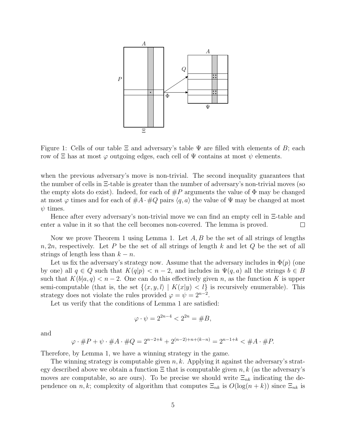

Figure 1: Cells of our table  $\Xi$  and adversary's table  $\Psi$  are filled with elements of B; each row of  $\Xi$  has at most  $\varphi$  outgoing edges, each cell of  $\Psi$  contains at most  $\psi$  elements.

when the previous adversary's move is non-trivial. The second inequality guarantees that the number of cells in Ξ-table is greater than the number of adversary's non-trivial moves (so the empty slots do exist). Indeed, for each of  $\#P$  arguments the value of  $\Phi$  may be changed at most  $\varphi$  times and for each of  $\#A \cdot \#Q$  pairs  $\langle q, a \rangle$  the value of  $\Psi$  may be changed at most  $\psi$  times.

Hence after every adversary's non-trivial move we can find an empty cell in Ξ-table and enter a value in it so that the cell becomes non-covered. The lemma is proved.  $\Box$ 

Now we prove Theorem 1 using Lemma 1. Let  $A, B$  be the set of all strings of lengths  $n, 2n$ , respectively. Let P be the set of all strings of length k and let Q be the set of all strings of length less than  $k - n$ .

Let us fix the adversary's strategy now. Assume that the adversary includes in  $\Phi(p)$  (one by one) all  $q \in Q$  such that  $K(q|p) < n-2$ , and includes in  $\Psi(q, a)$  all the strings  $b \in B$ such that  $K(b|a,q) < n-2$ . One can do this effectively given n, as the function K is upper semi-computable (that is, the set  $\{\langle x, y, l \rangle | K(x|y) < l\}$  is recursively enumerable). This strategy does not violate the rules provided  $\varphi = \psi = 2^{n-2}$ .

Let us verify that the conditions of Lemma 1 are satisfied:

$$
\varphi \cdot \psi = 2^{2n-4} < 2^{2n} = \#B,
$$

and

$$
\varphi \cdot \#P + \psi \cdot \#A \cdot \#Q = 2^{n-2+k} + 2^{(n-2)+n+(k-n)} = 2^{n-1+k} < \#A \cdot \#P.
$$

Therefore, by Lemma 1, we have a winning strategy in the game.

The winning strategy is computable given  $n, k$ . Applying it against the adversary's strategy described above we obtain a function  $\Xi$  that is computable given n, k (as the adversary's moves are computable, so are ours). To be precise we should write  $\Xi_{nk}$  indicating the dependence on n, k; complexity of algorithm that computes  $\Xi_{nk}$  is  $O(\log(n + k))$  since  $\Xi_{nk}$  is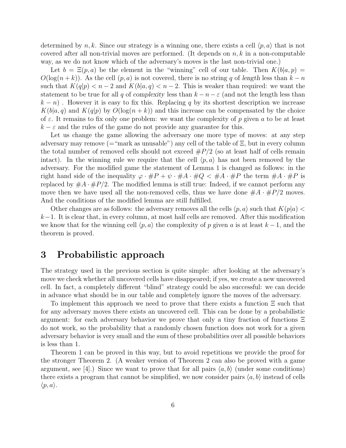determined by n, k. Since our strategy is a winning one, there exists a cell  $\langle p, a \rangle$  that is not covered after all non-trivial moves are performed. (It depends on  $n, k$  in a non-computable way, as we do not know which of the adversary's moves is the last non-trivial one.)

Let  $b = \Xi(p, a)$  be the element in the "winning" cell of our table. Then  $K(b|a, p) =$  $O(\log(n + k))$ . As the cell  $(p, a)$  is not covered, there is no string q of length less than  $k - n$ such that  $K(q|p) < n-2$  and  $K(b|a,q) < n-2$ . This is weaker than required: we want the statement to be true for all q of complexity less than  $k - n - \varepsilon$  (and not the length less than  $(k - n)$ . However it is easy to fix this. Replacing q by its shortest description we increase  $K(b|a, q)$  and  $K(q|p)$  by  $O(log(n + k))$  and this increase can be compensated by the choice of  $\varepsilon$ . It remains to fix only one problem: we want the complexity of p given a to be at least  $k - \varepsilon$  and the rules of the game do not provide any guarantee for this.

Let us change the game allowing the adversary one more type of moves: at any step adversary may remove (="mark as unusable") any cell of the table of  $\Xi$ , but in every column the total number of removed cells should not exceed  $\#P/2$  (so at least half of cells remain intact). In the winning rule we require that the cell  $\langle p, a \rangle$  has not been removed by the adversary. For the modified game the statement of Lemma 1 is changed as follows: in the right hand side of the inequality  $\varphi \cdot \#P + \psi \cdot \#A \cdot \#Q \lt \#A \cdot \#P$  the term  $\#A \cdot \#P$  is replaced by  $\#A \cdot \#P/2$ . The modified lemma is still true: Indeed, if we cannot perform any move then we have used all the non-removed cells, thus we have done  $\#A \cdot \#P/2$  moves. And the conditions of the modified lemma are still fulfilled.

Other changes are as follows: the adversary removes all the cells  $\langle p, a \rangle$  such that  $K(p|a)$  <  $k-1$ . It is clear that, in every column, at most half cells are removed. After this modification we know that for the winning cell  $\langle p, a \rangle$  the complexity of p given a is at least  $k - 1$ , and the theorem is proved.

#### 3 Probabilistic approach

The strategy used in the previous section is quite simple: after looking at the adversary's move we check whether all uncovered cells have disappeared; if yes, we create a new uncovered cell. In fact, a completely different "blind" strategy could be also successful: we can decide in advance what should be in our table and completely ignore the moves of the adversary.

To implement this approach we need to prove that there exists a function Ξ such that for any adversary moves there exists an uncovered cell. This can be done by a probabilistic argument: for each adversary behavior we prove that only a tiny fraction of functions Ξ do not work, so the probability that a randomly chosen function does not work for a given adversary behavior is very small and the sum of these probabilities over all possible behaviors is less than 1.

Theorem 1 can be proved in this way, but to avoid repetitions we provide the proof for the stronger Theorem 2. (A weaker version of Theorem 2 can also be proved with a game argument, see [4].) Since we want to prove that for all pairs  $\langle a, b \rangle$  (under some conditions) there exists a program that cannot be simplified, we now consider pairs  $\langle a, b \rangle$  instead of cells  $\langle p, a \rangle$ .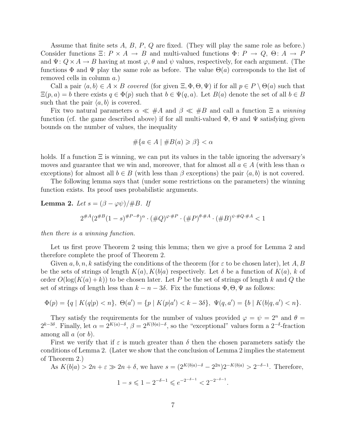Assume that finite sets  $A, B, P, Q$  are fixed. (They will play the same role as before.) Consider functions  $\Xi: P \times A \to B$  and multi-valued functions  $\Phi: P \to Q, \Theta: A \to P$ and  $\Psi: Q \times A \to B$  having at most  $\varphi$ ,  $\theta$  and  $\psi$  values, respectively, for each argument. (The functions  $\Phi$  and  $\Psi$  play the same role as before. The value  $\Theta(a)$  corresponds to the list of removed cells in column a.)

Call a pair  $\langle a, b \rangle \in A \times B$  covered (for given  $\Xi, \Phi, \Theta, \Psi$ ) if for all  $p \in P \setminus \Theta(a)$  such that  $\Xi(p, a) = b$  there exists  $q \in \Phi(p)$  such that  $b \in \Psi(q, a)$ . Let  $B(a)$  denote the set of all  $b \in B$ such that the pair  $\langle a, b \rangle$  is covered.

Fix two natural parameters  $\alpha \ll #A$  and  $\beta \ll #B$  and call a function  $\Xi$  a winning function (cf. the game described above) if for all multi-valued  $\Phi$ ,  $\Theta$  and  $\Psi$  satisfying given bounds on the number of values, the inequality

$$
\#\{a \in A \mid \#B(a) \ge \beta\} < \alpha
$$

holds. If a function  $\Xi$  is winning, we can put its values in the table ignoring the adversary's moves and guarantee that we win and, moreover, that for almost all  $a \in A$  (with less than  $\alpha$ exceptions) for almost all  $b \in B$  (with less than  $\beta$  exceptions) the pair  $\langle a, b \rangle$  is not covered.

The following lemma says that (under some restrictions on the parameters) the winning function exists. Its proof uses probabilistic arguments.

**Lemma 2.** Let 
$$
s = (\beta - \varphi \psi)/\#B
$$
. If  
\n $2^{\#A}(2^{\#B}(1-s)^{\#P-\theta})^{\alpha} \cdot (\#Q)^{\varphi \cdot \#P} \cdot (\#P)^{\theta \cdot \#A} \cdot (\#B)^{\psi \cdot \#Q \cdot \#A} < 1$ 

then there is a winning function.

Let us first prove Theorem 2 using this lemma; then we give a proof for Lemma 2 and therefore complete the proof of Theorem 2.

Given  $a, b, n, k$  satisfying the conditions of the theorem (for  $\varepsilon$  to be chosen later), let A, B be the sets of strings of length  $K(a)$ ,  $K(b|a)$  respectively. Let  $\delta$  be a function of  $K(a)$ , k of order  $O(\log(K(a) + k))$  to be chosen later. Let P be the set of strings of length k and Q the set of strings of length less than  $k - n - 3\delta$ . Fix the functions  $\Phi$ ,  $\Theta$ ,  $\Psi$  as follows:

$$
\Phi(p) = \{q \mid K(q|p) < n\}, \ \Theta(a') = \{p \mid K(p|a') < k - 3\delta\}, \ \Psi(q, a') = \{b \mid K(b|q, a') < n\}.
$$

They satisfy the requirements for the number of values provided  $\varphi = \psi = 2^n$  and  $\theta =$  $2^{k-3\delta}$ . Finally, let  $\alpha = 2^{K(a)-\delta}$ ,  $\beta = 2^{K(b|a)-\delta}$ , so the "exceptional" values form a  $2^{-\delta}$ -fraction among all  $a$  (or  $b$ ).

First we verify that if  $\varepsilon$  is much greater than  $\delta$  then the chosen parameters satisfy the conditions of Lemma 2. (Later we show that the conclusion of Lemma 2 implies the statement of Theorem 2.)

As  $K(b|a) > 2n + \varepsilon \gg 2n + \delta$ , we have  $s = (2^{K(b|a)-\delta} - 2^{2n})2^{-K(b|a)} > 2^{-\delta-1}$ . Therefore,

$$
1 - s \leqslant 1 - 2^{-\delta - 1} \leqslant e^{-2^{-\delta - 1}} < 2^{-2^{-\delta - 1}}.
$$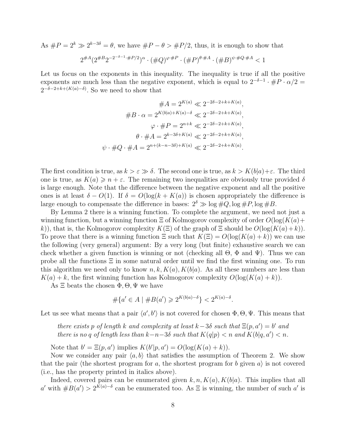As  $\#P = 2^k \gg 2^{k-3\delta} = \theta$ , we have  $\#P - \theta > \#P/2$ , thus, it is enough to show that

$$
2^{\#A} (2^{\#B} 2^{-2^{-\delta-1} \cdot \#P/2})^{\alpha} \cdot (\#Q)^{\varphi \cdot \#P} \cdot (\#P)^{\theta \cdot \#A} \cdot (\#B)^{\psi \cdot \#Q \cdot \#A} < 1
$$

Let us focus on the exponents in this inequality. The inequality is true if all the positive exponents are much less than the negative exponent, which is equal to  $2^{-\delta-1} \cdot \#P \cdot \alpha/2 =$  $2^{-\delta-2+k+(K(a)-\delta)}$ . So we need to show that

$$
#A = 2^{K(a)} \ll 2^{-2\delta - 2 + k + K(a)},
$$

$$
#B \cdot \alpha = 2^{K(b|a) + K(a) - \delta} \ll 2^{-2\delta - 2 + k + K(a)},
$$

$$
\varphi \cdot #P = 2^{n+k} \ll 2^{-2\delta - 2 + k + K(a)},
$$

$$
\theta \cdot #A = 2^{k - 3\delta + K(a)} \ll 2^{-2\delta - 2 + k + K(a)},
$$

$$
\psi \cdot #Q \cdot #A = 2^{n + (k - n - 3\delta) + K(a)} \ll 2^{-2\delta - 2 + k + K(a)}.
$$

The first condition is true, as  $k > \varepsilon \gg \delta$ . The second one is true, as  $k > K(b|a) + \varepsilon$ . The third one is true, as  $K(a) \geqslant n + \varepsilon$ . The remaining two inequalities are obviously true provided  $\delta$ is large enough. Note that the difference between the negative exponent and all the positive ones is at least  $\delta - O(1)$ . If  $\delta = O(\log(k + K(a))$  is chosen appropriately the difference is large enough to compensate the difference in bases:  $2^{\delta} \gg \log \#Q$ ,  $\log \#P$ ,  $\log \#B$ .

By Lemma 2 there is a winning function. To complete the argument, we need not just a winning function, but a winning function  $\Xi$  of Kolmogorov complexity of order  $O(\log(K(a))$ k)), that is, the Kolmogorov complexity  $K(\Xi)$  of the graph of  $\Xi$  should be  $O(\log(K(a)+k)).$ To prove that there is a winning function  $\Xi$  such that  $K(\Xi) = O(\log(K(a) + k))$  we can use the following (very general) argument: By a very long (but finite) exhaustive search we can check whether a given function is winning or not (checking all  $\Theta$ ,  $\Phi$  and  $\Psi$ ). Thus we can probe all the functions  $\Xi$  in some natural order until we find the first winning one. To run this algorithm we need only to know  $n, k, K(a), K(b|a)$ . As all these numbers are less than  $K(a) + k$ , the first winning function has Kolmogorov complexity  $O(\log(K(a) + k))$ .

As  $\Xi$  beats the chosen  $\Phi$ ,  $\Theta$ ,  $\Psi$  we have

$$
\#\{a' \in A \mid \#B(a') \geq 2^{K(b|a)-\delta}\} < 2^{K(a)-\delta}.
$$

Let us see what means that a pair  $\langle a', b' \rangle$  is not covered for chosen  $\Phi$ ,  $\Theta$ ,  $\Psi$ . This means that

there exists p of length k and complexity at least  $k-3\delta$  such that  $\Xi(p, a') = b'$  and there is no q of length less than  $k - n - 3\delta$  such that  $K(q|p) < n$  and  $K(b|q, a') < n$ .

Note that  $b' = \Xi(p, a')$  implies  $K(b'|p, a') = O(\log(K(a) + k)).$ 

Now we consider any pair  $\langle a, b \rangle$  that satisfies the assumption of Theorem 2. We show that the pair (the shortest program for a, the shortest program for b given  $a$ ) is not covered (i.e., has the property printed in italics above).

Indeed, covered pairs can be enumerated given  $k, n, K(a), K(b|a)$ . This implies that all a' with  $#B(a') > 2^{K(a)-\delta}$  can be enumerated too. As  $\Xi$  is winning, the number of such a' is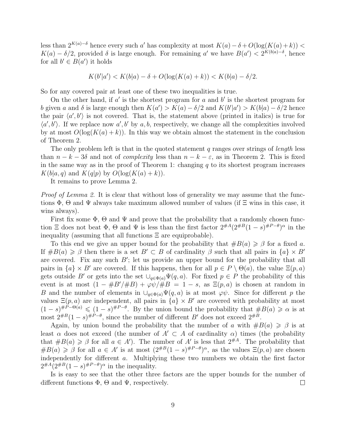less than  $2^{K(a)-\delta}$  hence every such a' has complexity at most  $K(a)-\delta+O(\log(K(a)+k))$  <  $K(a) - \delta/2$ , provided  $\delta$  is large enough. For remaining a' we have  $B(a') < 2^{K(b|a) - \delta}$ , hence for all  $b' \in B(a')$  it holds

$$
K(b'|a') < K(b|a) - \delta + O(\log(K(a) + k)) < K(b|a) - \delta/2.
$$

So for any covered pair at least one of these two inequalities is true.

On the other hand, if  $a'$  is the shortest program for  $a$  and  $b'$  is the shortest program for b given a and  $\delta$  is large enough then  $K(a') > K(a) - \delta/2$  and  $K(b'|a') > K(b|a) - \delta/2$  hence the pair  $\langle a', b' \rangle$  is not covered. That is, the statement above (printed in italics) is true for  $\langle a', b' \rangle$ . If we replace now  $a', b'$  by a, b, respectively, we change all the complexities involved by at most  $O(\log(K(a) + k))$ . In this way we obtain almost the statement in the conclusion of Theorem 2.

The only problem left is that in the quoted statement q ranges over strings of *length* less than  $n - k - 3\delta$  and not of *complexity* less than  $n - k - \varepsilon$ , as in Theorem 2. This is fixed in the same way as in the proof of Theorem 1: changing  $q$  to its shortest program increases  $K(b|a,q)$  and  $K(q|p)$  by  $O(log(K(a)+k)).$ 

It remains to prove Lemma 2.

Proof of Lemma 2. It is clear that without loss of generality we may assume that the functions  $\Phi$ ,  $\Theta$  and  $\Psi$  always take maximum allowed number of values (if  $\Xi$  wins in this case, it wins always).

First fix some  $\Phi$ ,  $\Theta$  and  $\Psi$  and prove that the probability that a randomly chosen function  $\Xi$  does not beat  $\Phi$ ,  $\Theta$  and  $\Psi$  is less than the first factor  $2^{\#A}(2^{\#B}(1-s)^{\#P-\theta})^{\alpha}$  in the inequality (assuming that all functions  $\Xi$  are equiprobable).

To this end we give an upper bound for the probability that  $\#B(a) \geq \beta$  for a fixed a. If  $#B(a) \geq \beta$  then there is a set  $B' \subset B$  of cardinality  $\beta$  such that all pairs in  $\{a\} \times B'$ are covered. Fix any such  $B'$ ; let us provide an upper bound for the probability that all pairs in  $\{a\} \times B'$  are covered. If this happens, then for all  $p \in P \setminus \Theta(a)$ , the value  $\Xi(p, a)$ gets outside B' or gets into the set  $\bigcup_{q\in\Phi(a)}\Psi(q,a)$ . For fixed  $p\in P$  the probability of this event is at most  $(1 - \#B'/\#B) + \varphi \psi / \#B = 1 - s$ , as  $\Xi(p, a)$  is chosen at random in B and the number of elements in  $\bigcup_{q\in\Phi(a)}\Psi(q,a)$  is at most  $\varphi\psi$ . Since for different p the values  $\Xi(p, a)$  are independent, all pairs in  $\{a\} \times B'$  are covered with probability at most  $(1-s)^{\#P-\Theta(a)} \leqslant (1-s)^{\#P-\theta}$ . By the union bound the probability that  $\#B(a) \geqslant \alpha$  is at most  $2^{\#B}(1-s)^{\#P-\theta}$ , since the number of different B' does not exceed  $2^{\#B}$ .

Again, by union bound the probability that the number of a with  $\#B(a) \geq \beta$  is at least  $\alpha$  does not exceed (the number of  $A' \subset A$  of cardinality  $\alpha$ ) times (the probability that  $#B(a) \geq \beta$  for all  $a \in A'$ ). The number of A' is less that  $2^{\#A}$ . The probability that  $#B(a) \geq \beta$  for all  $a \in A'$  is at most  $(2^{*B}(1-s)^{*B-\theta})^{\alpha}$ , as the values  $\Xi(p,a)$  are chosen independently for different a. Multiplying these two numbers we obtain the first factor  $2^{\#A}(2^{\#B}(1-s)^{\#P-\theta})^{\alpha}$  in the inequality.

Is is easy to see that the other three factors are the upper bounds for the number of different functions  $\Phi$ ,  $\Theta$  and  $\Psi$ , respectively.  $\Box$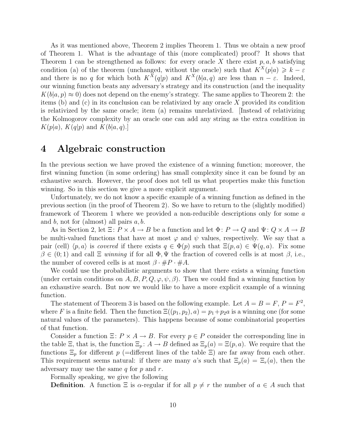As it was mentioned above, Theorem 2 implies Theorem 1. Thus we obtain a new proof of Theorem 1. What is the advantage of this (more complicated) proof? It shows that Theorem 1 can be strengthened as follows: for every oracle X there exist  $p, a, b$  satisfying condition (a) of the theorem (unchanged, without the oracle) such that  $K^X(p|a) \geq k - \varepsilon$ and there is no q for which both  $K^X(q|p)$  and  $K^X(b|a,q)$  are less than  $n - \varepsilon$ . Indeed, our winning function beats any adversary's strategy and its construction (and the inequality  $K(b|a, p) \approx 0$  does not depend on the enemy's strategy. The same applies to Theorem 2: the items (b) and (c) in its conclusion can be relativized by any oracle  $X$  provided its condition is relativized by the same oracle; item (a) remains unrelativized. [Instead of relativizing the Kolmogorov complexity by an oracle one can add any string as the extra condition in  $K(p|a)$ ,  $K(q|p)$  and  $K(b|a,q)$ .

#### 4 Algebraic construction

In the previous section we have proved the existence of a winning function; moreover, the first winning function (in some ordering) has small complexity since it can be found by an exhaustive search. However, the proof does not tell us what properties make this function winning. So in this section we give a more explicit argument.

Unfortunately, we do not know a specific example of a winning function as defined in the previous section (in the proof of Theorem 2). So we have to return to the (slightly modified) framework of Theorem 1 where we provided a non-reducible descriptions only for some a and b, not for (almost) all pairs  $a, b$ .

As in Section 2, let  $\Xi: P \times A \to B$  be a function and let  $\Phi: P \to Q$  and  $\Psi: Q \times A \to B$ be multi-valued functions that have at most  $\varphi$  and  $\psi$  values, respectively. We say that a pair (cell)  $\langle p, a \rangle$  is covered if there exists  $q \in \Phi(p)$  such that  $\Xi(p, a) \in \Psi(q, a)$ . Fix some  $\beta \in (0,1)$  and call  $\Xi$  winning if for all  $\Phi, \Psi$  the fraction of covered cells is at most  $\beta$ , i.e., the number of covered cells is at most  $\beta \cdot \#P \cdot \#A$ .

We could use the probabilistic arguments to show that there exists a winning function (under certain conditions on  $A, B, P, Q, \varphi, \psi, \beta$ ). Then we could find a winning function by an exhaustive search. But now we would like to have a more explicit example of a winning function.

The statement of Theorem 3 is based on the following example. Let  $A = B = F, P = F^2$ , where F is a finite field. Then the function  $\Xi((p_1, p_2), a) = p_1 + p_2 a$  is a winning one (for some natural values of the parameters). This happens because of some combinatorial properties of that function.

Consider a function  $\Xi: P \times A \to B$ . For every  $p \in P$  consider the corresponding line in the table  $\Xi$ , that is, the function  $\Xi_p: A \to B$  defined as  $\Xi_p(a) = \Xi(p, a)$ . We require that the functions  $\Xi_p$  for different p (=different lines of the table  $\Xi$ ) are far away from each other. This requirement seems natural: if there are many a's such that  $\Xi_p(a) = \Xi_r(a)$ , then the adversary may use the same  $q$  for  $p$  and  $r$ .

Formally speaking, we give the following

**Definition.** A function  $\Xi$  is  $\alpha$ -regular if for all  $p \neq r$  the number of  $a \in A$  such that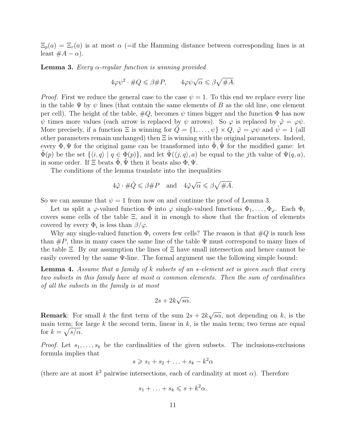$\Xi_p(a) = \Xi_r(a)$  is at most  $\alpha$  (=if the Hamming distance between corresponding lines is at least  $#A - \alpha$ ).

**Lemma 3.** Every  $\alpha$ -regular function is winning provided

$$
4\varphi\psi^2 \cdot \#Q \leqslant \beta \#P, \qquad 4\varphi\psi\sqrt{\alpha} \leqslant \beta\sqrt{\#A}.
$$

*Proof.* First we reduce the general case to the case  $\psi = 1$ . To this end we replace every line in the table  $\Psi$  by  $\psi$  lines (that contain the same elements of B as the old line, one element per cell). The height of the table,  $\#Q$ , becomes  $\psi$  times bigger and the function  $\Phi$  has now  $\psi$  times more values (each arrow is replaced by  $\psi$  arrows). So  $\varphi$  is replaced by  $\tilde{\varphi} = \varphi \psi$ . More precisely, if a function  $\Xi$  is winning for  $Q = \{1, \ldots, \psi\} \times Q$ ,  $\tilde{\varphi} = \varphi \psi$  and  $\psi = 1$  (all other parameters remain unchanged) then  $\Xi$  is winning with the original parameters. Indeed, every  $\Phi$ ,  $\Psi$  for the original game can be transformed into  $\tilde{\Phi}$ ,  $\tilde{\Psi}$  for the modified game: let  $\Phi(p)$  be the set  $\{\langle i, q \rangle | q \in \Phi(p)\}\$ , and let  $\Psi(\langle j, q \rangle, a)$  be equal to the jth value of  $\Psi(q, a)$ , in some order. If  $\Xi$  beats  $\Phi, \Psi$  then it beats also  $\Phi, \Psi$ .

The conditions of the lemma translate into the inequalities

$$
4\tilde{\varphi}\cdot\#\tilde{Q}\leqslant\beta\#P\quad\text{and}\quad 4\tilde{\varphi}\sqrt{\alpha}\leqslant\beta\sqrt{\#A}.
$$

So we can assume that  $\psi = 1$  from now on and continue the proof of Lemma 3.

Let us split a  $\varphi$ -valued function  $\Phi$  into  $\varphi$  single-valued functions  $\Phi_1, \ldots, \Phi_{\varphi}$ . Each  $\Phi_i$ covers some cells of the table  $\Xi$ , and it in enough to show that the fraction of elements covered by every  $\Phi_i$  is less than  $\beta/\varphi$ .

Why any single-valued function  $\Phi_i$  covers few cells? The reason is that  $\#Q$  is much less than  $\#P$ , thus in many cases the same line of the table  $\Psi$  must correspond to many lines of the table  $\Xi$ . By our assumption the lines of  $\Xi$  have small intersection and hence cannot be easily covered by the same Ψ-line. The formal argument use the following simple bound:

**Lemma 4.** Assume that a family of k subsets of an s-element set is given such that every two subsets in this family have at most  $\alpha$  common elements. Then the sum of cardinalities of all the subsets in the family is at most

$$
2s + 2k\sqrt{s\alpha}.
$$

**Remark:** For small k the first term of the sum  $2s + 2k$ √  $\overline{s\alpha}$ , not depending on k, is the main term; for large k the second term, linear in  $k$ , is the main term; two terms are equal for  $k = \sqrt{s/\alpha}$ .

*Proof.* Let  $s_1, \ldots, s_k$  be the cardinalities of the given subsets. The inclusions-exclusions formula implies that

$$
s \geqslant s_1 + s_2 + \ldots + s_k - k^2 \alpha
$$

(there are at most  $k^2$  pairwise intersections, each of cardinality at most  $\alpha$ ). Therefore

$$
s_1 + \ldots + s_k \leqslant s + k^2 \alpha.
$$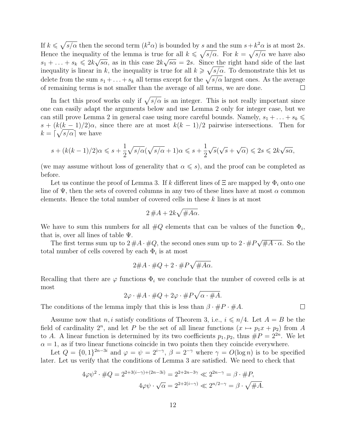If  $k \leq \sqrt{s/\alpha}$  then the second term  $(k^2\alpha)$  is bounded by s and the sum  $s+k^2\alpha$  is at most 2s. Hence the inequality of the lemma is true for all  $k \leq \sqrt{s/\alpha}$ . For  $k = \sqrt{s/\alpha}$  we have also  $s_1 + \ldots + s_k \leq 2k\sqrt{s\alpha}$ , as in this case  $2k\sqrt{s\alpha} = 2s$ . Since the right hand side of the last inequality is linear in k, the inequality is true for all  $k \geqslant \sqrt{s/\alpha}$ . To demonstrate this let us delete from the sum  $s_1 + \ldots + s_k$  all terms except for the  $\sqrt{s/\alpha}$  largest ones. As the average of remaining terms is not smaller than the average of all terms, we are done.  $\Box$ 

In fact this proof works only if  $\sqrt{s/\alpha}$  is an integer. This is not really important since one can easily adapt the arguments below and use Lemma 2 only for integer case, but we can still prove Lemma 2 in general case using more careful bounds. Namely,  $s_1 + \ldots + s_k \leq$  $s + (k(k-1)/2)\alpha$ , since there are at most  $k(k-1)/2$  pairwise intersections. Then for  $k = \lceil \sqrt{s/\alpha} \rceil$  we have

$$
s + (k(k-1)/2)\alpha \leqslant s + \frac{1}{2}\sqrt{s/\alpha}(\sqrt{s/\alpha} + 1)\alpha \leqslant s + \frac{1}{2}\sqrt{s}(\sqrt{s} + \sqrt{\alpha}) \leqslant 2s \leqslant 2k\sqrt{s\alpha},
$$

(we may assume without loss of generality that  $\alpha \leqslant s$ ), and the proof can be completed as before.

Let us continue the proof of Lemma 3. If k different lines of  $\Xi$  are mapped by  $\Phi_i$  onto one line of  $\Psi$ , then the sets of covered columns in any two of these lines have at most  $\alpha$  common elements. Hence the total number of covered cells in these k lines is at most

$$
2\#A + 2k\sqrt{\#A\alpha}.
$$

We have to sum this numbers for all  $\#Q$  elements that can be values of the function  $\Phi_i$ , that is, over all lines of table  $\Psi$ . √

The first terms sum up to  $2 \# A \cdot \# Q$ , the second ones sum up to  $2 \cdot \# P$  $\overline{\#A\cdot\alpha}$ . So the total number of cells covered by each  $\Phi_i$  is at most

$$
2\#A\cdot\#Q+2\cdot\#P\sqrt{\#A\alpha}.
$$

Recalling that there are  $\varphi$  functions  $\Phi_i$  we conclude that the number of covered cells is at most

$$
2\varphi \cdot \#A \cdot \#Q + 2\varphi \cdot \#P\sqrt{\alpha \cdot \#A}.
$$

 $\Box$ 

The conditions of the lemma imply that this is less than  $\beta \cdot \#P \cdot \#A$ .

Assume now that  $n, i$  satisfy conditions of Theorem 3, i.e.,  $i \leq n/4$ . Let  $A = B$  be the field of cardinality  $2^n$ , and let P be the set of all linear functions  $(x \mapsto p_1x + p_2)$  from A to A. A linear function is determined by its two coefficients  $p_1, p_2$ , thus  $\#P = 2^{2n}$ . We let  $\alpha = 1$ , as if two linear functions coincide in two points then they coincide everywhere.

Let  $Q = \{0,1\}^{2n-3i}$  and  $\varphi = \psi = 2^{i-\gamma}, \ \beta = 2^{-\gamma}$  where  $\gamma = O(\log n)$  is to be specified later. Let us verify that the conditions of Lemma 3 are satisfied. We need to check that

$$
4\varphi\psi^2 \cdot \#Q = 2^{2+3(i-\gamma)+(2n-3i)} = 2^{2+2n-3\gamma} \ll 2^{2n-\gamma} = \beta \cdot \#P,
$$
  

$$
4\varphi\psi \cdot \sqrt{\alpha} = 2^{2+2(i-\gamma)} \ll 2^{n/2-\gamma} = \beta \cdot \sqrt{\#A}.
$$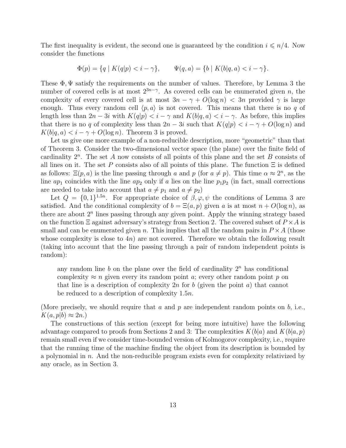The first inequality is evident, the second one is guaranteed by the condition  $i \leq n/4$ . Now consider the functions

$$
\Phi(p) = \{ q \mid K(q|p) < i - \gamma \}, \qquad \Psi(q, a) = \{ b \mid K(b|q, a) < i - \gamma \}.
$$

These  $\Phi$ ,  $\Psi$  satisfy the requirements on the number of values. Therefore, by Lemma 3 the number of covered cells is at most  $2^{3n-\gamma}$ . As covered cells can be enumerated given n, the complexity of every covered cell is at most  $3n - \gamma + O(\log n) < 3n$  provided  $\gamma$  is large enough. Thus every random cell  $\langle p, a \rangle$  is not covered. This means that there is no q of length less than  $2n - 3i$  with  $K(q|p) < i - \gamma$  and  $K(b|q, a) < i - \gamma$ . As before, this implies that there is no q of complexity less than  $2n-3i$  such that  $K(q|p) < i - \gamma + O(\log n)$  and  $K(b|q, a) < i - \gamma + O(\log n)$ . Theorem 3 is proved.

Let us give one more example of a non-reducible description, more "geometric" than that of Theorem 3. Consider the two-dimensional vector space (the plane) over the finite field of cardinality  $2^n$ . The set A now consists of all points of this plane and the set B consists of all lines on it. The set P consists also of all points of this plane. The function  $\Xi$  is defined as follows:  $\Xi(p, a)$  is the line passing through a and p (for  $a \neq p$ ). This time  $\alpha \approx 2^n$ , as the line  $ap_1$  coincides with the line  $ap_2$  only if a lies on the line  $p_1p_2$  (in fact, small corrections are needed to take into account that  $a \neq p_1$  and  $a \neq p_2$ )

Let  $Q = \{0,1\}^{1.5n}$ . For appropriate choice of  $\beta, \varphi, \psi$  the conditions of Lemma 3 are satisfied. And the conditional complexity of  $b = \Xi(a, p)$  given a is at most  $n + O(\log n)$ , as there are about  $2<sup>n</sup>$  lines passing through any given point. Apply the winning strategy based on the function  $\Xi$  against adversary's strategy from Section 2. The covered subset of  $P \times A$  is small and can be enumerated given n. This implies that all the random pairs in  $P \times A$  (those whose complexity is close to  $4n$ ) are not covered. Therefore we obtain the following result (taking into account that the line passing through a pair of random independent points is random):

any random line  $b$  on the plane over the field of cardinality  $2<sup>n</sup>$  has conditional complexity  $\approx n$  given every its random point a; every other random point p on that line is a description of complexity 2n for b (given the point a) that cannot be reduced to a description of complexity 1.5n.

(More precisely, we should require that a and p are independent random points on  $b$ , i.e.,  $K(a, p|b) \approx 2n$ .

The constructions of this section (except for being more intuitive) have the following advantage compared to proofs from Sections 2 and 3: The complexities  $K(b|a)$  and  $K(b|a, p)$ remain small even if we consider time-bounded version of Kolmogorov complexity, i.e., require that the running time of the machine finding the object from its description is bounded by a polynomial in  $n$ . And the non-reducible program exists even for complexity relativized by any oracle, as in Section 3.